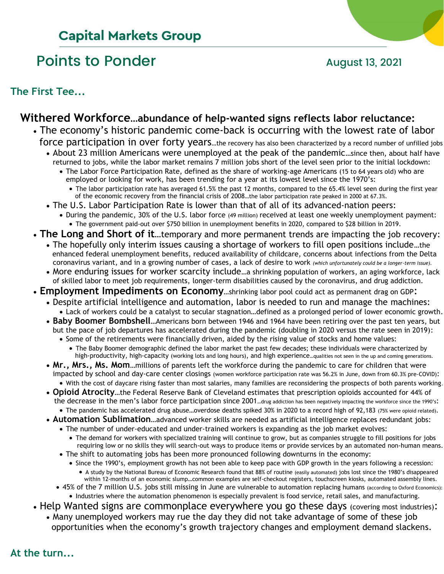# **Capital Markets Group**

# Points to Ponder and August 13, 2021

**The First Tee...**

### **Withered Workforce…abundance of help-wanted signs reflects labor reluctance:**

- The economy's historic pandemic come-back is occurring with the lowest rate of labor force participation in over forty years...the recovery has also been characterized by a record number of unfilled jobs
	- About 23 million Americans were unemployed at the peak of the pandemic…since then, about half have returned to jobs, while the labor market remains 7 million jobs short of the level seen prior to the initial lockdown:
		- The Labor Force Participation Rate, defined as the share of working-age Americans (15 to 64 years old) who are employed or looking for work, has been trending for a year at its lowest level since the 1970's:
			- The labor participation rate has averaged 61.5% the past 12 months, compared to the 65.4% level seen during the first year of the economic recovery from the financial crisis of 2008…the labor participation rate peaked in 2000 at 67.3%.
	- The U.S. Labor Participation Rate is lower than that of all of its advanced-nation peers:
		- During the pandemic, 30% of the U.S. labor force (49 million) received at least one weekly unemployment payment: • The government paid-out over \$750 billion in unemployment benefits in 2020, compared to \$28 billion in 2019.
- **The Long and Short of it**…temporary and more permanent trends are impacting the job recovery:
	- The hopefully only interim issues causing a shortage of workers to fill open positions include…the enhanced federal unemployment benefits, reduced availability of childcare, concerns about infections from the Delta coronavirus variant, and in a growing number of cases, a lack of desire to work *(which unfortunately could be a longer-term issue).*
	- More enduring issues for worker scarcity include...a shrinking population of workers, an aging workforce, lack of skilled labor to meet job requirements, longer-term disabilities caused by the coronavirus, and drug addiction.
- **Employment Impediments on Economy**…shrinking labor pool could act as permanent drag on GDP:
	- Despite artificial intelligence and automation, labor is needed to run and manage the machines: • Lack of workers could be a catalyst to secular stagnation…defined as a prolonged period of lower economic growth.
	- **Baby Boomer Bombshell**…Americans born between 1946 and 1964 have been retiring over the past ten years, but but the pace of job departures has accelerated during the pandemic (doubling in 2020 versus the rate seen in 2019):
		- Some of the retirements were financially driven, aided by the rising value of stocks and home values:
		- The Baby Boomer demographic defined the labor market the past few decades; these individuals were characterized by high-productivity, high-capacity (working lots and long hours), and high experience…qualities not seen in the up and coming generations.
	- **Mr., Mrs., Ms. Mom**…millions of parents left the workforce during the pandemic to care for children that were impacted by school and day-care center closings (women workforce participation rate was 56.2% in June, down from 60.3% pre-COVID): • With the cost of daycare rising faster than most salaries, many families are reconsidering the prospects of both parents working.
	- **Opioid Atrocity**…the Federal Reserve Bank of Cleveland estimates that prescription opioids accounted for 44% of the decrease in the men's labor force participation since 2001…drug addiction has been negatively impacting the workforce since the 1990's:
		- The pandemic has accelerated drug abuse…overdose deaths spiked 30% in 2020 to a record high of 92,183 (75% were opioid related).
	- **Automation Sublimation**…advanced worker skills are needed as artificial intelligence replaces redundant jobs:
		- The number of under-educated and under-trained workers is expanding as the job market evolves:
		- The demand for workers with specialized training will continue to grow, but as companies struggle to fill positions for jobs requiring low or no skills they will search-out ways to produce items or provide services by an automated non-human means. • The shift to automating jobs has been more pronounced following downturns in the economy:
		- Since the 1990's, employment growth has not been able to keep pace with GDP growth in the years following a recession:
			- A study by the National Bureau of Economic Research found that 88% of routine (easily automated) jobs lost since the 1980's disappeared within 12-months of an economic slump…common examples are self-checkout registers, touchscreen kiosks, automated assembly lines.
		- 45% of the 7 million U.S. jobs still missing in June are vulnerable to automation replacing humans (according to Oxford Economics): • Industries where the automation phenomenon is especially prevalent is food service, retail sales, and manufacturing.
- Help Wanted signs are commonplace everywhere you go these days (covering most industries):
	- Many unemployed workers may rue the day they did not take advantage of some of these job opportunities when the economy's growth trajectory changes and employment demand slackens.